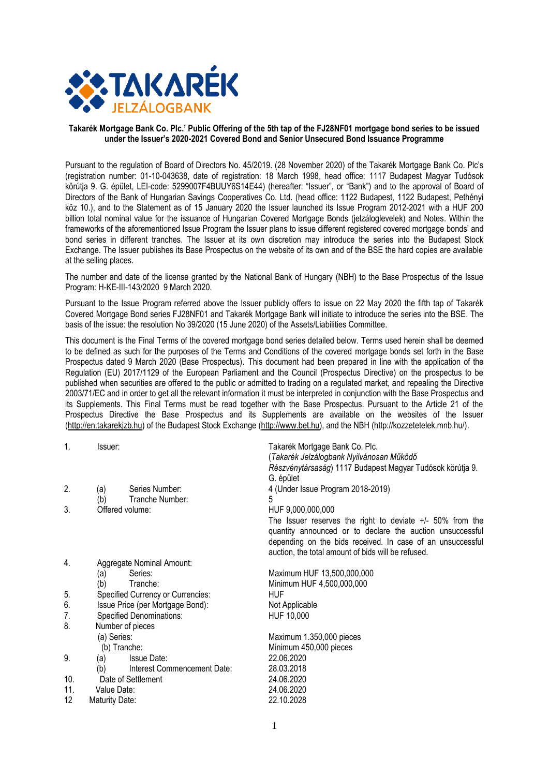

#### **Takarék Mortgage Bank Co. Plc.' Public Offering of the 5th tap of the FJ28NF01 mortgage bond series to be issued under the Issuer's 2020-2021 Covered Bond and Senior Unsecured Bond Issuance Programme**

Pursuant to the regulation of Board of Directors No. 45/2019. (28 November 2020) of the Takarék Mortgage Bank Co. Plc's (registration number: 01-10-043638, date of registration: 18 March 1998, head office: 1117 Budapest Magyar Tudósok körútja 9. G. épület, LEI-code: 5299007F4BUUY6S14E44) (hereafter: "Issuer", or "Bank") and to the approval of Board of Directors of the Bank of Hungarian Savings Cooperatives Co. Ltd. (head office: 1122 Budapest, 1122 Budapest, Pethényi köz 10.), and to the Statement as of 15 January 2020 the Issuer launched its Issue Program 2012-2021 with a HUF 200 billion total nominal value for the issuance of Hungarian Covered Mortgage Bonds (jelzáloglevelek) and Notes. Within the frameworks of the aforementioned Issue Program the Issuer plans to issue different registered covered mortgage bonds' and bond series in different tranches. The Issuer at its own discretion may introduce the series into the Budapest Stock Exchange. The Issuer publishes its Base Prospectus on the website of its own and of the BSE the hard copies are available at the selling places.

The number and date of the license granted by the National Bank of Hungary (NBH) to the Base Prospectus of the Issue Program: H-KE-III-143/2020 9 March 2020.

Pursuant to the Issue Program referred above the Issuer publicly offers to issue on 22 May 2020 the fifth tap of Takarék Covered Mortgage Bond series FJ28NF01 and Takarék Mortgage Bank will initiate to introduce the series into the BSE. The basis of the issue: the resolution No 39/2020 (15 June 2020) of the Assets/Liabilities Committee.

This document is the Final Terms of the covered mortgage bond series detailed below. Terms used herein shall be deemed to be defined as such for the purposes of the Terms and Conditions of the covered mortgage bonds set forth in the Base Prospectus dated 9 March 2020 (Base Prospectus). This document had been prepared in line with the application of the Regulation (EU) 2017/1129 of the European Parliament and the Council (Prospectus Directive) on the prospectus to be published when securities are offered to the public or admitted to trading on a regulated market, and repealing the Directive 2003/71/EC and in order to get all the relevant information it must be interpreted in conjunction with the Base Prospectus and its Supplements. This Final Terms must be read together with the Base Prospectus. Pursuant to the Article 21 of the Prospectus Directive the Base Prospectus and its Supplements are available on the websites of the Issuer [\(http://en.takarekjzb.hu\)](http://en.takarekjzb.hu/) of the Budapest Stock Exchange [\(http://www.bet.hu\)](http://www.bet.hu/), and the NBH (http://kozzetetelek.mnb.hu/).

| $\mathbf{1}$ . | Issuer:                           |                             | Takarék Mortgage Bank Co. Plc.                              |
|----------------|-----------------------------------|-----------------------------|-------------------------------------------------------------|
|                |                                   |                             | (Takarék Jelzálogbank Nyilvánosan Működő                    |
|                |                                   |                             | Részvénytársaság) 1117 Budapest Magyar Tudósok körútja 9.   |
|                |                                   |                             | G. épület                                                   |
| 2.             | Series Number:<br>(a)             |                             | 4 (Under Issue Program 2018-2019)                           |
|                | Tranche Number:<br>(b)            |                             | 5                                                           |
| 3.             | Offered volume:                   |                             | HUF 9,000,000,000                                           |
|                |                                   |                             | The Issuer reserves the right to deviate $+/-$ 50% from the |
|                |                                   |                             | quantity announced or to declare the auction unsuccessful   |
|                |                                   |                             | depending on the bids received. In case of an unsuccessful  |
|                |                                   |                             | auction, the total amount of bids will be refused.          |
| 4.             | Aggregate Nominal Amount:         |                             |                                                             |
|                | Series:<br>(a)                    |                             | Maximum HUF 13,500,000,000                                  |
|                | (b)<br>Tranche:                   |                             | Minimum HUF 4,500,000,000                                   |
| 5.             | Specified Currency or Currencies: |                             | <b>HUF</b>                                                  |
| 6.             | Issue Price (per Mortgage Bond):  |                             | Not Applicable                                              |
| 7.             | Specified Denominations:          |                             | HUF 10,000                                                  |
| 8.             | Number of pieces                  |                             |                                                             |
|                | (a) Series:                       |                             | Maximum 1.350,000 pieces                                    |
|                | (b) Tranche:                      |                             | Minimum 450,000 pieces                                      |
| 9.             | <b>Issue Date:</b><br>(a)         |                             | 22.06.2020                                                  |
|                | (b)                               | Interest Commencement Date: | 28.03.2018                                                  |
| 10.            | Date of Settlement                |                             | 24.06.2020                                                  |
| 11.            | Value Date:                       |                             | 24.06.2020                                                  |
| 12             | <b>Maturity Date:</b>             |                             | 22.10.2028                                                  |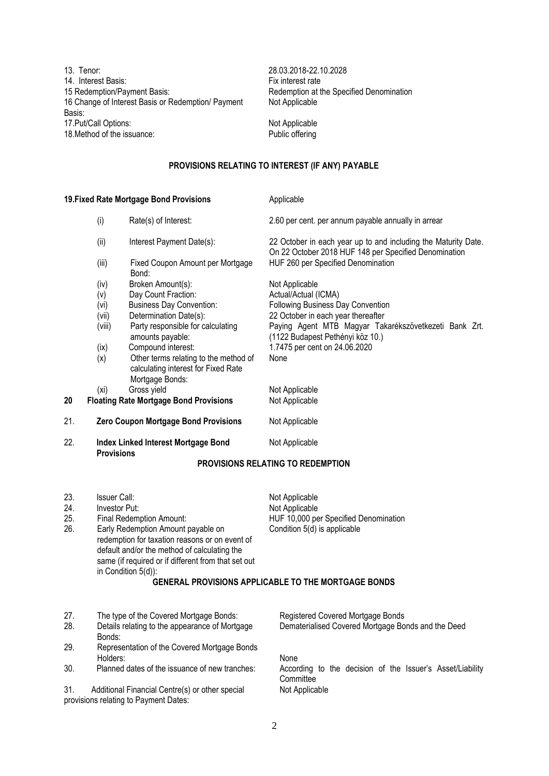13. Tenor: 28.03.2018-22.10.2028 14. Interest Basis:<br>15 Redemption/Payment Basis: 16 Change of Interest Basis or Redemption/ Payment Basis: 17. Put/Call Options: Not Applicable 18. Method of the issuance: Public offering

Redemption at the Specified Denomination Not Applicable

### **PROVISIONS RELATING TO INTEREST (IF ANY) PAYABLE**

| 19. Fixed Rate Mortgage Bond Provisions |                                                                                                                                                                                                                                                                                 |                                                                                                                                                                                                                                                                                         | Applicable                                                                                                                                                                                                                                              |  |
|-----------------------------------------|---------------------------------------------------------------------------------------------------------------------------------------------------------------------------------------------------------------------------------------------------------------------------------|-----------------------------------------------------------------------------------------------------------------------------------------------------------------------------------------------------------------------------------------------------------------------------------------|---------------------------------------------------------------------------------------------------------------------------------------------------------------------------------------------------------------------------------------------------------|--|
|                                         | (i)                                                                                                                                                                                                                                                                             | Rate(s) of Interest:                                                                                                                                                                                                                                                                    | 2.60 per cent. per annum payable annually in arrear                                                                                                                                                                                                     |  |
|                                         | (ii)                                                                                                                                                                                                                                                                            | Interest Payment Date(s):                                                                                                                                                                                                                                                               | 22 October in each year up to and including the Maturity Date.<br>On 22 October 2018 HUF 148 per Specified Denomination                                                                                                                                 |  |
|                                         | (iii)                                                                                                                                                                                                                                                                           | Fixed Coupon Amount per Mortgage<br>Bond:                                                                                                                                                                                                                                               | HUF 260 per Specified Denomination                                                                                                                                                                                                                      |  |
|                                         | (iv)<br>(v)<br>(vi)<br>(vii)<br>(viii)<br>(ix)<br>(x)                                                                                                                                                                                                                           | Broken Amount(s):<br>Day Count Fraction:<br><b>Business Day Convention:</b><br>Determination Date(s):<br>Party responsible for calculating<br>amounts payable:<br>Compound interest:<br>Other terms relating to the method of<br>calculating interest for Fixed Rate<br>Mortgage Bonds: | Not Applicable<br>Actual/Actual (ICMA)<br>Following Business Day Convention<br>22 October in each year thereafter<br>Paying Agent MTB Magyar Takarékszövetkezeti Bank Zrt.<br>(1122 Budapest Pethényi köz 10.)<br>1.7475 per cent on 24.06.2020<br>None |  |
| 20                                      | (xi)                                                                                                                                                                                                                                                                            | Gross yield<br><b>Floating Rate Mortgage Bond Provisions</b>                                                                                                                                                                                                                            | Not Applicable<br>Not Applicable                                                                                                                                                                                                                        |  |
|                                         |                                                                                                                                                                                                                                                                                 |                                                                                                                                                                                                                                                                                         |                                                                                                                                                                                                                                                         |  |
| 21.                                     |                                                                                                                                                                                                                                                                                 | Zero Coupon Mortgage Bond Provisions                                                                                                                                                                                                                                                    | Not Applicable                                                                                                                                                                                                                                          |  |
| 22.                                     | <b>Index Linked Interest Mortgage Bond</b><br><b>Provisions</b>                                                                                                                                                                                                                 |                                                                                                                                                                                                                                                                                         | Not Applicable                                                                                                                                                                                                                                          |  |
|                                         |                                                                                                                                                                                                                                                                                 |                                                                                                                                                                                                                                                                                         | PROVISIONS RELATING TO REDEMPTION                                                                                                                                                                                                                       |  |
| 23.<br>24.<br>25.<br>26.                | Issuer Call:<br>Investor Put:<br>Final Redemption Amount:<br>Early Redemption Amount payable on<br>redemption for taxation reasons or on event of<br>default and/or the method of calculating the<br>same (if required or if different from that set out<br>in Condition 5(d)): |                                                                                                                                                                                                                                                                                         | Not Applicable<br>Not Applicable<br>HUF 10,000 per Specified Denomination<br>Condition 5(d) is applicable<br>GENERAL PROVISIONS APPLICABLE TO THE MORTGAGE BONDS                                                                                        |  |
| 27.<br>28.<br>20                        | Bonds:                                                                                                                                                                                                                                                                          | The type of the Covered Mortgage Bonds:<br>Details relating to the appearance of Mortgage<br>Representation of the Covered Mortagne Ronds                                                                                                                                               | Registered Covered Mortgage Bonds<br>Dematerialised Covered Mortgage Bonds and the Deed                                                                                                                                                                 |  |

- 29. Representation of the Covered Mortgage Bonds
- Holders: None<br>Planned dates of the issuance of new tranches: Accord

31. Additional Financial Centre(s) or other special provisions relating to Payment Dates:

30. Planned dates of the issuance of new tranches: According to the decision of the Issuer's Asset/Liability **Committee** Not Applicable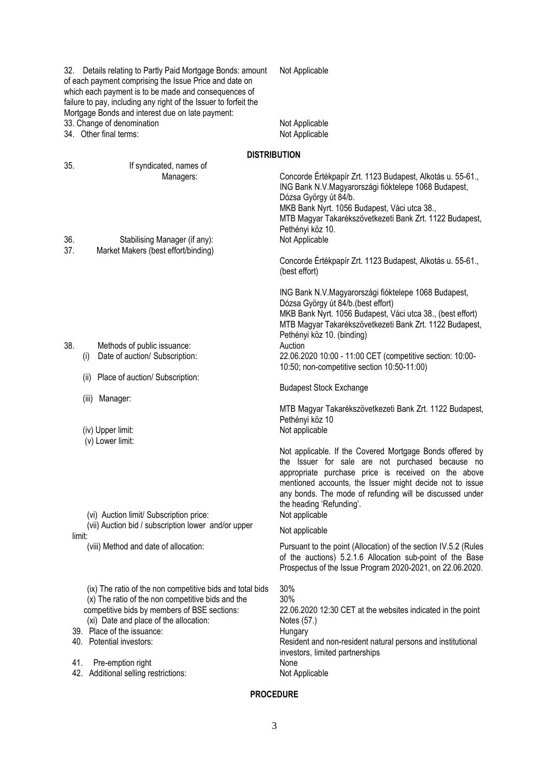32. Details relating to Partly Paid Mortgage Bonds: amount of each payment comprising the Issue Price and date on which each payment is to be made and consequences of failure to pay, including any right of the Issuer to forfeit the Mortgage Bonds and interest due on late payment: Not Applicable 33. Change of denomination Not Applicable 34. Other final terms: Not Applicable **DISTRIBUTION** 35. If syndicated, names of Managers: Concorde Értékpapír Zrt. 1123 Budapest, Alkotás u. 55-61., ING Bank N.V.Magyarországi fióktelepe 1068 Budapest, Dózsa György út 84/b. MKB Bank Nyrt. 1056 Budapest, Váci utca 38., MTB Magyar Takarékszövetkezeti Bank Zrt. 1122 Budapest, Pethényi köz 10. 36. Stabilising Manager (if any): Not Applicable 37. Market Makers (best effort/binding) Concorde Értékpapír Zrt. 1123 Budapest, Alkotás u. 55-61., (best effort) ING Bank N.V.Magyarországi fióktelepe 1068 Budapest, Dózsa György út 84/b.(best effort) MKB Bank Nyrt. 1056 Budapest, Váci utca 38., (best effort) MTB Magyar Takarékszövetkezeti Bank Zrt. 1122 Budapest, Pethényi köz 10. (binding) 38. Methods of public issuance: Auction (i) Date of auction/ Subscription: 22.06.2020 10:00 - 11:00 CET (competitive section: 10:00- 10:50; non-competitive section 10:50-11:00) (ii) Place of auction/ Subscription: Budapest Stock Exchange (iii) Manager: MTB Magyar Takarékszövetkezeti Bank Zrt. 1122 Budapest, Pethényi köz 10<br>Not applicable (iv) Upper limit: (v) Lower limit: Not applicable. If the Covered Mortgage Bonds offered by the Issuer for sale are not purchased because no appropriate purchase price is received on the above mentioned accounts, the Issuer might decide not to issue any bonds. The mode of refunding will be discussed under the heading 'Refunding'. (vi) Auction limit/ Subscription price: Not applicable (vii) Auction bid / subscription lower and/or upper Not applicable<br>limit: (viii) Method and date of allocation: Pursuant to the point (Allocation) of the section IV.5.2 (Rules of the auctions) 5.2.1.6 Allocation sub-point of the Base Prospectus of the Issue Program 2020-2021, on 22.06.2020. (ix) The ratio of the non competitive bids and total bids (x) The ratio of the non competitive bids and the competitive bids by members of BSE sections: (xi) Date and place of the allocation: 30% 30% 22.06.2020 12:30 CET at the websites indicated in the point Notes (57.) 39. Place of the issuance: Hungary Hungary<br>
40. Potential investors: Hungary Resident Resident and non-resident natural persons and institutional investors, limited partnerships 41. Pre-emption right None 42. Additional selling restrictions: Not Applicable

### **PROCEDURE**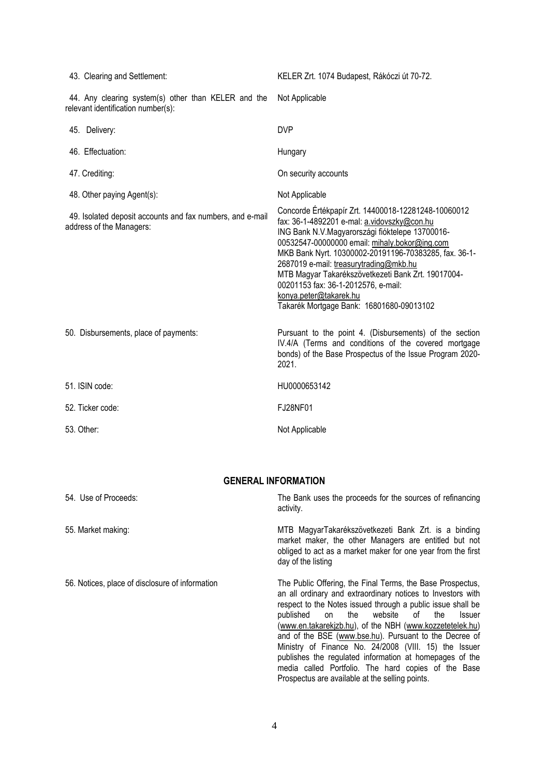| 43. Clearing and Settlement:                                                              | KELER Zrt. 1074 Budapest, Rákóczi út 70-72.                                                                                                                                                                                                                                                                                                                                                                                                                                  |
|-------------------------------------------------------------------------------------------|------------------------------------------------------------------------------------------------------------------------------------------------------------------------------------------------------------------------------------------------------------------------------------------------------------------------------------------------------------------------------------------------------------------------------------------------------------------------------|
| 44. Any clearing system(s) other than KELER and the<br>relevant identification number(s): | Not Applicable                                                                                                                                                                                                                                                                                                                                                                                                                                                               |
| 45. Delivery:                                                                             | <b>DVP</b>                                                                                                                                                                                                                                                                                                                                                                                                                                                                   |
| 46. Effectuation:                                                                         | Hungary                                                                                                                                                                                                                                                                                                                                                                                                                                                                      |
| 47. Crediting:                                                                            | On security accounts                                                                                                                                                                                                                                                                                                                                                                                                                                                         |
| 48. Other paying Agent(s):                                                                | Not Applicable                                                                                                                                                                                                                                                                                                                                                                                                                                                               |
| 49. Isolated deposit accounts and fax numbers, and e-mail<br>address of the Managers:     | Concorde Értékpapír Zrt. 14400018-12281248-10060012<br>fax: 36-1-4892201 e-mal: a.vidovszky@con.hu<br>ING Bank N.V.Magyarországi fióktelepe 13700016-<br>00532547-00000000 email: mihaly.bokor@ing.com<br>MKB Bank Nyrt. 10300002-20191196-70383285, fax. 36-1-<br>2687019 e-mail: treasurytrading@mkb.hu<br>MTB Magyar Takarékszövetkezeti Bank Zrt. 19017004-<br>00201153 fax: 36-1-2012576, e-mail:<br>konya.peter@takarek.hu<br>Takarék Mortgage Bank: 16801680-09013102 |
| 50. Disbursements, place of payments:                                                     | Pursuant to the point 4. (Disbursements) of the section<br>IV.4/A (Terms and conditions of the covered mortgage<br>bonds) of the Base Prospectus of the Issue Program 2020-<br>2021.                                                                                                                                                                                                                                                                                         |
| 51. ISIN code:                                                                            | HU0000653142                                                                                                                                                                                                                                                                                                                                                                                                                                                                 |
| 52. Ticker code:                                                                          | FJ28NF01                                                                                                                                                                                                                                                                                                                                                                                                                                                                     |
| 53. Other:                                                                                | Not Applicable                                                                                                                                                                                                                                                                                                                                                                                                                                                               |

## **GENERAL INFORMATION**

| 54. Use of Proceeds:                            | The Bank uses the proceeds for the sources of refinancing<br>activity.                                                                                                                                                                                                                                                                                                                                                                                                                                                                                 |
|-------------------------------------------------|--------------------------------------------------------------------------------------------------------------------------------------------------------------------------------------------------------------------------------------------------------------------------------------------------------------------------------------------------------------------------------------------------------------------------------------------------------------------------------------------------------------------------------------------------------|
| 55. Market making:                              | MTB MagyarTakarékszövetkezeti Bank Zrt. is a binding<br>market maker, the other Managers are entitled but not<br>obliged to act as a market maker for one year from the first<br>day of the listing                                                                                                                                                                                                                                                                                                                                                    |
| 56. Notices, place of disclosure of information | The Public Offering, the Final Terms, the Base Prospectus,<br>an all ordinary and extraordinary notices to Investors with<br>respect to the Notes issued through a public issue shall be<br>the website of<br>published<br>the<br><b>Issuer</b><br>on<br>(www.en.takarekjzb.hu), of the NBH (www.kozzetetelek.hu)<br>and of the BSE (www.bse.hu). Pursuant to the Decree of<br>Ministry of Finance No. 24/2008 (VIII. 15) the Issuer<br>publishes the regulated information at homepages of the<br>media called Portfolio. The hard copies of the Base |

Prospectus are available at the selling points.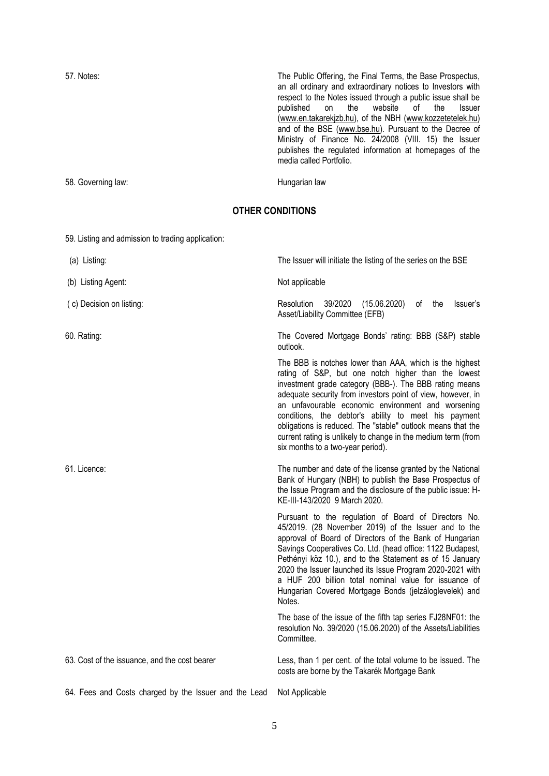57. Notes: The Public Offering, the Final Terms, the Base Prospectus, an all ordinary and extraordinary notices to Investors with respect to the Notes issued through a public issue shall be published on the website of the Issuer of the [\(www.en.takarekjzb.hu\)](http://www.en.takarekjzb.hu/), of the NBH [\(www.kozzetetelek.hu\)](http://www.kozzetetelek.hu/) and of the BSE [\(www.bse.hu\)](http://www.bse.hu/). Pursuant to the Decree of Ministry of Finance No. 24/2008 (VIII. 15) the Issuer publishes the regulated information at homepages of the media called Portfolio.

58. Governing law: The Contract of the Contract of the Hungarian law

# **OTHER CONDITIONS**

59. Listing and admission to trading application:

| (a) Listing:                                          | The Issuer will initiate the listing of the series on the BSE                                                                                                                                                                                                                                                                                                                                                                                                                                                              |
|-------------------------------------------------------|----------------------------------------------------------------------------------------------------------------------------------------------------------------------------------------------------------------------------------------------------------------------------------------------------------------------------------------------------------------------------------------------------------------------------------------------------------------------------------------------------------------------------|
| (b) Listing Agent:                                    | Not applicable                                                                                                                                                                                                                                                                                                                                                                                                                                                                                                             |
| (c) Decision on listing:                              | Resolution<br>39/2020<br>(15.06.2020)<br>of the<br>Issuer's<br>Asset/Liability Committee (EFB)                                                                                                                                                                                                                                                                                                                                                                                                                             |
| 60. Rating:                                           | The Covered Mortgage Bonds' rating: BBB (S&P) stable<br>outlook.                                                                                                                                                                                                                                                                                                                                                                                                                                                           |
|                                                       | The BBB is notches lower than AAA, which is the highest<br>rating of S&P, but one notch higher than the lowest<br>investment grade category (BBB-). The BBB rating means<br>adequate security from investors point of view, however, in<br>an unfavourable economic environment and worsening<br>conditions, the debtor's ability to meet his payment<br>obligations is reduced. The "stable" outlook means that the<br>current rating is unlikely to change in the medium term (from<br>six months to a two-year period). |
| 61. Licence:                                          | The number and date of the license granted by the National<br>Bank of Hungary (NBH) to publish the Base Prospectus of<br>the Issue Program and the disclosure of the public issue: H-<br>KE-III-143/2020 9 March 2020.                                                                                                                                                                                                                                                                                                     |
|                                                       | Pursuant to the regulation of Board of Directors No.<br>45/2019. (28 November 2019) of the Issuer and to the<br>approval of Board of Directors of the Bank of Hungarian<br>Savings Cooperatives Co. Ltd. (head office: 1122 Budapest,<br>Pethényi köz 10.), and to the Statement as of 15 January<br>2020 the Issuer launched its Issue Program 2020-2021 with<br>a HUF 200 billion total nominal value for issuance of<br>Hungarian Covered Mortgage Bonds (jelzáloglevelek) and<br>Notes.                                |
|                                                       | The base of the issue of the fifth tap series FJ28NF01: the<br>resolution No. 39/2020 (15.06.2020) of the Assets/Liabilities<br>Committee.                                                                                                                                                                                                                                                                                                                                                                                 |
| 63. Cost of the issuance, and the cost bearer         | Less, than 1 per cent. of the total volume to be issued. The<br>costs are borne by the Takarék Mortgage Bank                                                                                                                                                                                                                                                                                                                                                                                                               |
| 64. Fees and Costs charged by the Issuer and the Lead | Not Applicable                                                                                                                                                                                                                                                                                                                                                                                                                                                                                                             |